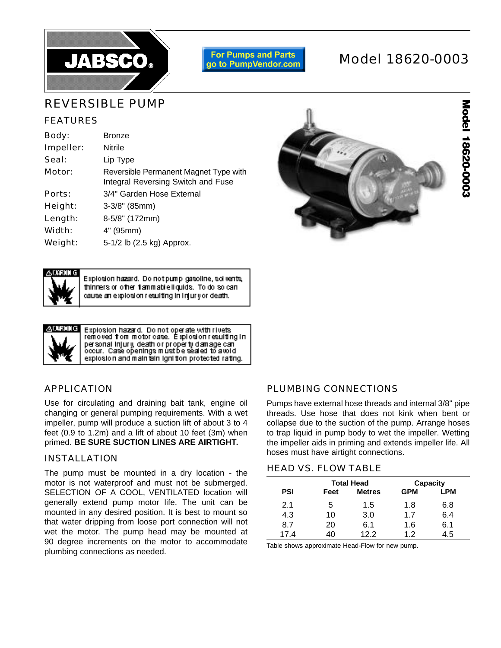

**For Pumps and Parts** go to PumpVendor.com

# Model 18620-0003

## REVERSIBLE PUMP

#### FEATURES

| <b>Bronze</b>                                                               |
|-----------------------------------------------------------------------------|
| <b>Nitrile</b>                                                              |
| Lip Type                                                                    |
| Reversible Permanent Magnet Type with<br>Integral Reversing Switch and Fuse |
| 3/4" Garden Hose External                                                   |
| $3-3/8$ " (85mm)                                                            |
| 8-5/8" (172mm)                                                              |
| 4" (95mm)                                                                   |
| 5-1/2 lb (2.5 kg) Approx.                                                   |
|                                                                             |





Explosion hazard. Do not pump gasoline, solvents, thinners or other 1 ammable liquids. To do so can cause an explosion resulting in injuryor death.



Explosion hazard. Do not operate with rivets<br>removed from motor case. Explosion resulting in per sonal injury, death or proper ty damage can<br>occur. Case openings must be sealed to avoid explosion and main fain ignition protected rating.

## APPLICATION

Use for circulating and draining bait tank, engine oil changing or general pumping requirements. With a wet impeller, pump will produce a suction lift of about 3 to 4 feet (0.9 to 1.2m) and a lift of about 10 feet (3m) when primed. **BE SURE SUCTION LINES ARE AIRTIGHT.**

## INSTALLATION

The pump must be mounted in a dry location - the motor is not waterproof and must not be submerged. SELECTION OF A COOL, VENTILATED location will generally extend pump motor life. The unit can be mounted in any desired position. It is best to mount so that water dripping from loose port connection will not wet the motor. The pump head may be mounted at 90 degree increments on the motor to accommodate plumbing connections as needed.

## PLUMBING CONNECTIONS

Pumps have external hose threads and internal 3/8" pipe threads. Use hose that does not kink when bent or collapse due to the suction of the pump. Arrange hoses to trap liquid in pump body to wet the impeller. Wetting the impeller aids in priming and extends impeller life. All hoses must have airtight connections.

#### HEAD VS. FLOW TABLE

|            | <b>Total Head</b> |               |            | Capacity |
|------------|-------------------|---------------|------------|----------|
| <b>PSI</b> | Feet              | <b>Metres</b> | <b>GPM</b> | LPM      |
| 2.1        | 5                 | 1.5           | 1.8        | 6.8      |
| 4.3        | 10                | 3.0           | 1.7        | 6.4      |
| 8.7        | 20                | 6.1           | 1.6        | 6.1      |
| 174        | 40                | 122           | 12         | 4.5      |

Table shows approximate Head-Flow for new pump.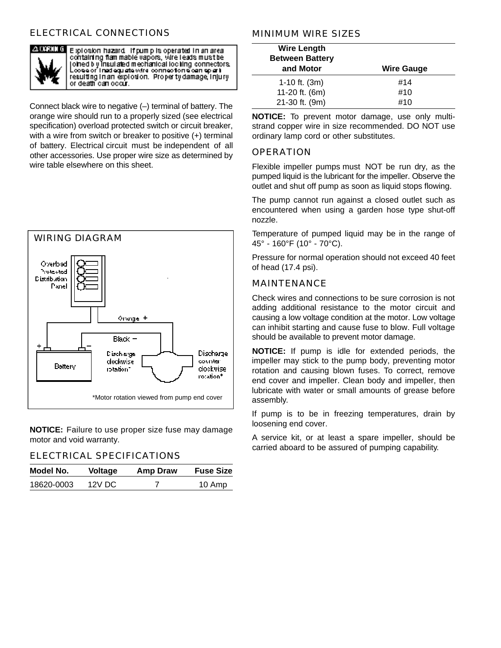## ELECTRICAL CONNECTIONS



Esplosion hazard if pump is operated in an area containing flam mable vapors, vure leads must bel oined bly insulated mechanical locking connectors. Loose of madequate wire connections can spark<br>resulting in an explosion. Property damage injury ordeamhican occuir.

Connect black wire to negative  $(-)$  terminal of battery. The orange wire should run to a properly sized (see electrical specification) overload protected switch or circuit breaker, with a wire from switch or breaker to positive  $(+)$  terminal of battery. Electrical circuit must be independent of all other accessories. Use proper wire size as determined by wire table elsewhere on this sheet.



**NOTICE:** Failure to use proper size fuse may damage motor and void warranty.

#### ELECTRICAL SPECIFICATIONS

| Model No.  | Voltage | Amp Draw | <b>Fuse Size</b> |
|------------|---------|----------|------------------|
| 18620-0003 | 12V DC  |          | 10 Amp           |

#### MINIMUM WIRE SIZES

| <b>Wire Length</b><br><b>Between Battery</b><br>and Motor | <b>Wire Gauge</b> |
|-----------------------------------------------------------|-------------------|
| 1-10 ft. $(3m)$                                           | #14               |
| 11-20 ft. (6m)                                            | #10               |
| 21-30 ft. (9m)                                            | #10               |

**NOTICE:** To prevent motor damage, use only multistrand copper wire in size recommended. DO NOT use ordinary lamp cord or other substitutes.

#### **OPERATION**

Flexible impeller pumps must NOT be run dry, as the pumped liquid is the lubricant for the impeller. Observe the outlet and shut off pump as soon as liquid stops flowing.

The pump cannot run against a closed outlet such as encountered when using a garden hose type shut-off nozzle.

Temperature of pumped liquid may be in the range of 45° - 160°F (10° - 70°C).

Pressure for normal operation should not exceed 40 feet of head (17.4 psi).

#### MAINTENANCE

Check wires and connections to be sure corrosion is not adding additional resistance to the motor circuit and causing a low voltage condition at the motor. Low voltage can inhibit starting and cause fuse to blow. Full voltage should be available to prevent motor damage.

**NOTICE:** If pump is idle for extended periods, the impeller may stick to the pump body, preventing motor rotation and causing blown fuses. To correct, remove end cover and impeller. Clean body and impeller, then lubricate with water or small amounts of grease before assembly.

If pump is to be in freezing temperatures, drain by loosening end cover.

A service kit, or at least a spare impeller, should be carried aboard to be assured of pumping capability.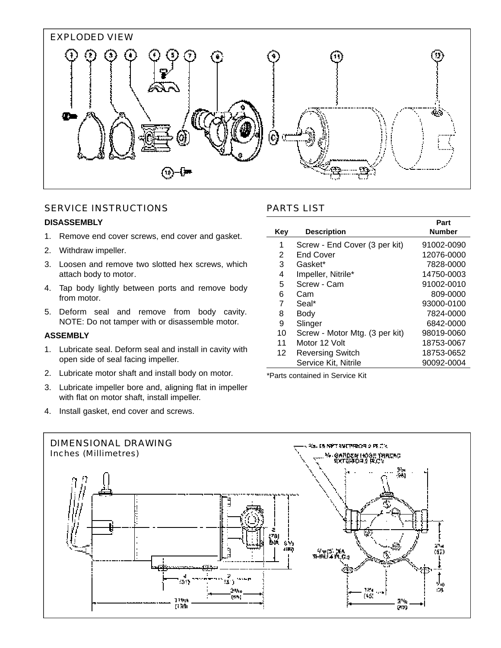

## SERVICE INSTRUCTIONS

#### **DISASSEMBLY**

- 1. Remove end cover screws, end cover and gasket.
- 2. Withdraw impeller.
- 3. Loosen and remove two slotted hex screws, which attach body to motor.
- 4. Tap body lightly between ports and remove body from motor.
- 5. Deform seal and remove from body cavity. NOTE: Do not tamper with or disassemble motor.

#### **ASSEMBLY**

- 1. Lubricate seal. Deform seal and install in cavity with open side of seal facing impeller.
- 2. Lubricate motor shaft and install body on motor.
- 3. Lubricate impeller bore and, aligning flat in impeller with flat on motor shaft, install impeller.
- 4. Install gasket, end cover and screws.

#### PARTS LIST

| <b>Description</b>             | Part<br><b>Number</b> |
|--------------------------------|-----------------------|
| Screw - End Cover (3 per kit)  | 91002-0090            |
| End Cover                      | 12076-0000            |
| Gasket*                        | 7828-0000             |
| Impeller, Nitrile*             | 14750-0003            |
| Screw - Cam                    | 91002-0010            |
| Cam                            | 809-0000              |
| Seal*                          | 93000-0100            |
| Body                           | 7824-0000             |
| Slinger                        | 6842-0000             |
| Screw - Motor Mtg. (3 per kit) | 98019-0060            |
| Motor 12 Volt                  | 18753-0067            |
| <b>Reversing Switch</b>        | 18753-0652            |
| Service Kit, Nitrile           | 90092-0004            |
|                                |                       |

\*Parts contained in Service Kit